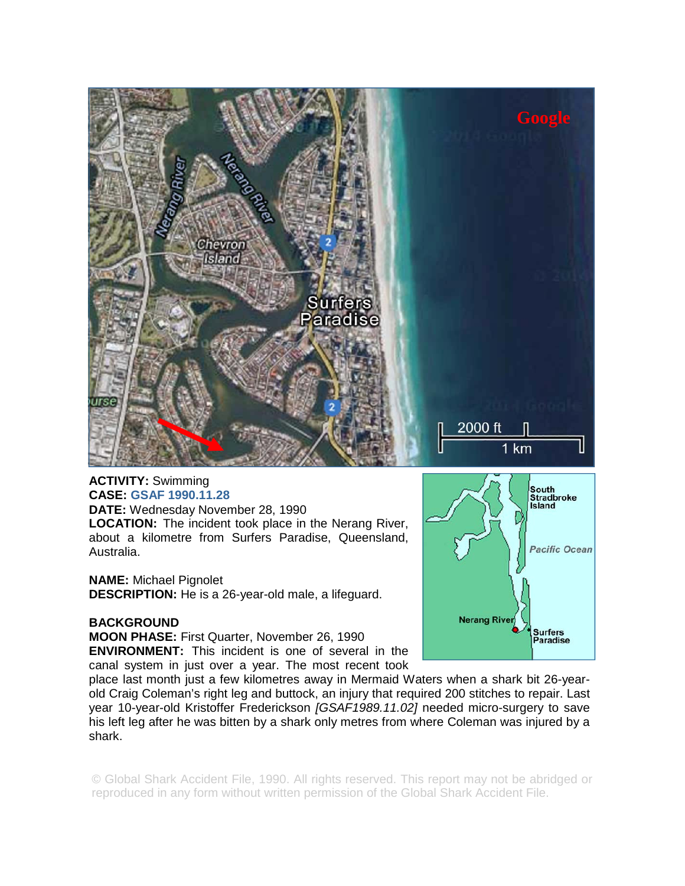

**ACTIVITY:** Swimming **CASE: GSAF 1990.11.28 DATE:** Wednesday November 28, 1990 **LOCATION:** The incident took place in the Nerang River, about a kilometre from Surfers Paradise, Queensland, Australia.

**NAME:** Michael Pignolet **DESCRIPTION:** He is a 26-year-old male, a lifeguard.

## **BACKGROUND**

**MOON PHASE:** First Quarter, November 26, 1990 **ENVIRONMENT:** This incident is one of several in the canal system in just over a year. The most recent took



place last month just a few kilometres away in Mermaid Waters when a shark bit 26-yearold Craig Coleman's right leg and buttock, an injury that required 200 stitches to repair. Last year 10-year-old Kristoffer Frederickson *[GSAF1989.11.02]* needed micro-surgery to save his left leg after he was bitten by a shark only metres from where Coleman was injured by a shark.

© Global Shark Accident File, 1990. All rights reserved. This report may not be abridged or reproduced in any form without written permission of the Global Shark Accident File.